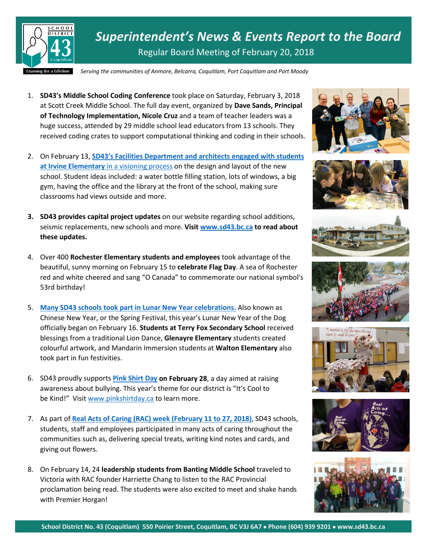

*Superintendent's News & Events Report to the Board* Regular Board Meeting of February 20, 2018

*Serving the communities of Anmore, Belcarra, Coquitlam, Port Coquitlam and Port Moody*

- 1. **SD43's Middle School Coding Conference** took place on Saturday, February 3, 2018 at Scott Creek Middle School. The full day event, organized by **Dave Sands, Principal of Technology Implementation, Nicole Cruz** and a team of teacher leaders was a huge success, attended by 29 middle school lead educators from 13 schools. They received coding crates to support computational thinking and coding in their schools.
- 2. On February 13, **[SD43's Facilities Department and architects engaged with students](https://www.sd43.bc.ca/Pages/newsitem.aspx?ItemID=150&ListID=c4134e88-bc0d-484f-9d4d-93c69db7f94f&TemplateID=Announcement_Item)  at Irvine Elementary** [in a visioning process](https://www.sd43.bc.ca/Pages/newsitem.aspx?ItemID=150&ListID=c4134e88-bc0d-484f-9d4d-93c69db7f94f&TemplateID=Announcement_Item) on the design and layout of the new school. Student ideas included: a water bottle filling station, lots of windows, a big gym, having the office and the library at the front of the school, making sure classrooms had views outside and more.
- **3. SD43 provides capital project updates** on our website regarding school additions, seismic replacements, new schools and more. **Visit [www.sd43.bc.ca](http://www.sd43.bc.ca/) to read about these updates.**
- 4. Over 400 **Rochester Elementary students and employees** took advantage of the beautiful, sunny morning on February 15 to **celebrate Flag Day**. A sea of Rochester red and white cheered and sang "O Canada" to commemorate our national symbol's 53rd birthday!
- 5. **Many SD43 [schools took part in Lunar New Year celebrations.](https://www.sd43.bc.ca/Pages/newsitem.aspx?ItemID=148&ListID=c4134e88-bc0d-484f-9d4d-93c69db7f94f&TemplateID=Announcement_Item)** Also known as Chinese New Year, or the Spring Festival, this year's Lunar New Year of the Dog officially began on February 16. **Students at Terry Fox Secondary School** received blessings from a traditional Lion Dance, **Glenayre Elementary** students created colourful artwork, and Mandarin Immersion students at **Walton Elementary** also took part in fun festivities.
- 6. SD43 proudly supports **[Pink Shirt Day](https://www.pinkshirtday.ca/) on February 28**, a day aimed at raising awareness about bullying. This year's theme for our district is "It's Cool to be Kind!" Visit [www.pinkshirtday.ca](http://www.pinkshirtday.ca/) to learn more.
- 7. As part of **[Real Acts of Caring \(RAC\) week \(February 11 to 27, 2018\)](https://www.sd43.bc.ca/Pages/newsitem.aspx?ItemID=149&ListID=c4134e88-bc0d-484f-9d4d-93c69db7f94f&TemplateID=Announcement_Item)**, SD43 schools, students, staff and employees participated in many acts of caring throughout the communities such as, delivering special treats, writing kind notes and cards, and giving out flowers.
- 8. On February 14, 24 **leadership students from Banting Middle School** traveled to Victoria with RAC founder Harriette Chang to listen to the RAC Provincial proclamation being read. The students were also excited to meet and shake hands with Premier Horgan!